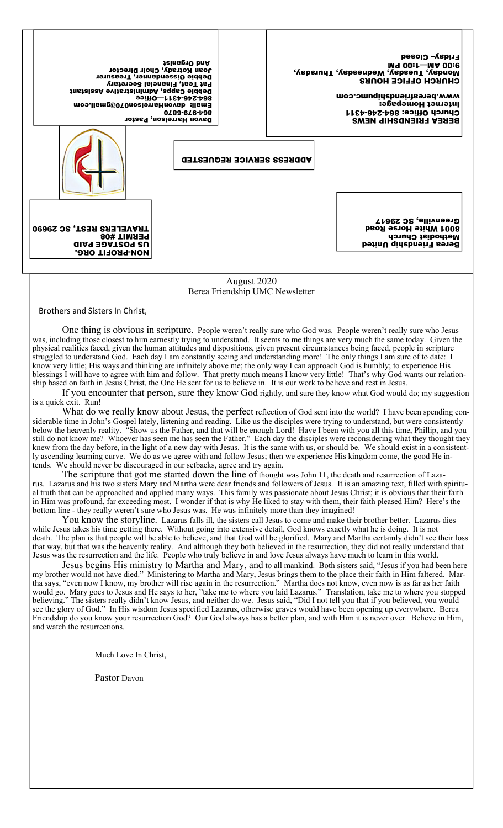NON-PROFIT ORG. US POSTAGE PAID PERMIT #08 TRAVELERS REST, SC 29690 ADDRESS SERVICE REQUESTED BEREA FRIENDSHIP NEWS Church Office: 864-246-4311 Internet Homepage: www.bereafriendshipumc.com CHURCH OFFICE HOURS Md 00:↓—Wediday, Maddoor<br>Wediday, Tuesday, Wediday, Thursday, Yapson, Shinay, Maddoor, Maddoor, Maddoor, M Friday– Closed Davon Harrelson, Pastor 864-979-6870 Email: davonHarrelson070@gmail.com 864-246-4311—Office Debbie Capps, Administrative Assistant Pat Teat, Financial Secretary Debbie Gissendanner, Treasurer Joan Kotrady, Choir Director And Organist Berea Friendship United Methodist Church 8001 White Horse Road Greenville, SC 29617

> August 2020 Berea Friendship UMC Newsletter

Brothers and Sisters In Christ,

One thing is obvious in scripture. People weren't really sure who God was. People weren't really sure who Jesus was, including those closest to him earnestly trying to understand. It seems to me things are very much the same today. Given the physical realities faced, given the human attitudes and dispositions, given present circumstances being faced, people in scripture struggled to understand God. Each day I am constantly seeing and understanding more! The only things I am sure of to date: I know very little; His ways and thinking are infinitely above me; the only way I can approach God is humbly; to experience His blessings I will have to agree with him and follow. That pretty much means I know very little! That's why God wants our relationship based on faith in Jesus Christ, the One He sent for us to believe in. It is our work to believe and rest in Jesus.

If you encounter that person, sure they know God rightly, and sure they know what God would do; my suggestion is a quick exit. Run!

What do we really know about Jesus, the perfect reflection of God sent into the world? I have been spending considerable time in John's Gospel lately, listening and reading. Like us the disciples were trying to understand, but were consistently below the heavenly reality. "Show us the Father, and that will be enough Lord! Have I been with you all this time, Phillip, and you still do not know me? Whoever has seen me has seen the Father." Each day the disciples were reconsidering what they thought they knew from the day before, in the light of a new day with Jesus. It is the same with us, or should be. We should exist in a consistently ascending learning curve. We do as we agree with and follow Jesus; then we experience His kingdom come, the good He intends. We should never be discouraged in our setbacks, agree and try again.

The scripture that got me started down the line of thought was John 11, the death and resurrection of Lazarus. Lazarus and his two sisters Mary and Martha were dear friends and followers of Jesus. It is an amazing text, filled with spiritual truth that can be approached and applied many ways. This family was passionate about Jesus Christ; it is obvious that their faith in Him was profound, far exceeding most. I wonder if that is why He liked to stay with them, their faith pleased Him? Here's the bottom line - they really weren't sure who Jesus was. He was infinitely more than they imagined!

You know the storyline. Lazarus falls ill, the sisters call Jesus to come and make their brother better. Lazarus dies while Jesus takes his time getting there. Without going into extensive detail, God knows exactly what he is doing. It is not death. The plan is that people will be able to believe, and that God will be glorified. Mary and Martha certainly didn't see their loss that way, but that was the heavenly reality. And although they both believed in the resurrection, they did not really understand that Jesus was the resurrection and the life. People who truly believe in and love Jesus always have much to learn in this world.

Jesus begins His ministry to Martha and Mary, and to all mankind. Both sisters said, "Jesus if you had been here my brother would not have died." Ministering to Martha and Mary, Jesus brings them to the place their faith in Him faltered. Martha says, "even now I know, my brother will rise again in the resurrection." Martha does not know, even now is as far as her faith would go. Mary goes to Jesus and He says to her, "take me to where you laid Lazarus." Translation, take me to where you stopped believing." The sisters really didn't know Jesus, and neither do we. Jesus said, "Did I not tell you that if you believed, you would see the glory of God." In His wisdom Jesus specified Lazarus, otherwise graves would have been opening up everywhere. Berea Friendship do you know your resurrection God? Our God always has a better plan, and with Him it is never over. Believe in Him, and watch the resurrections.

Much Love In Christ,

Pastor Davon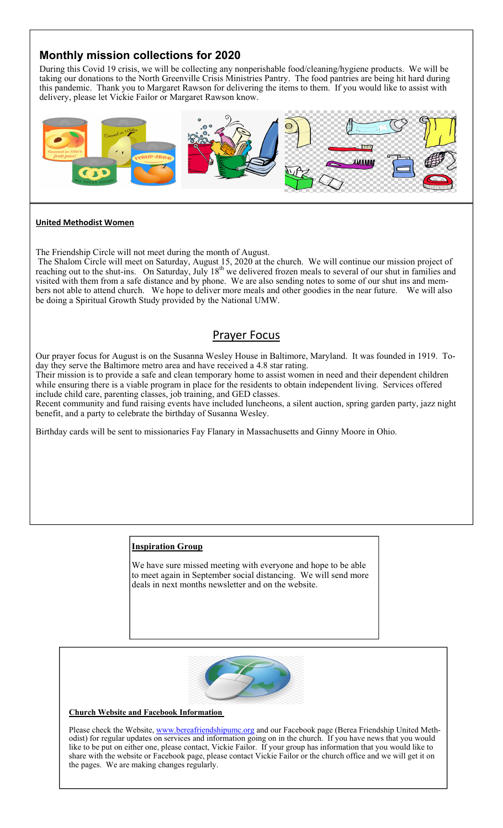# **Monthly mission collections for 2020**

During this Covid 19 crisis, we will be collecting any nonperishable food/cleaning/hygiene products. We will be taking our donations to the North Greenville Crisis Ministries Pantry. The food pantries are being hit hard during this pandemic. Thank you to Margaret Rawson for delivering the items to them. If you would like to assist with delivery, please let Vickie Failor or Margaret Rawson know.



#### **United Methodist Women**

The Friendship Circle will not meet during the month of August.

 The Shalom Circle will meet on Saturday, August 15, 2020 at the church. We will continue our mission project of reaching out to the shut-ins. On Saturday, July  $18^{th}$  we delivered frozen meals to several of our shut in families and visited with them from a safe distance and by phone. We are also sending notes to some of our shut ins and members not able to attend church. We hope to deliver more meals and other goodies in the near future. We will also be doing a Spiritual Growth Study provided by the National UMW.

# Prayer Focus

Our prayer focus for August is on the Susanna Wesley House in Baltimore, Maryland. It was founded in 1919. Today they serve the Baltimore metro area and have received a 4.8 star rating.

Their mission is to provide a safe and clean temporary home to assist women in need and their dependent children while ensuring there is a viable program in place for the residents to obtain independent living. Services offered include child care, parenting classes, job training, and GED classes.

Recent community and fund raising events have included luncheons, a silent auction, spring garden party, jazz night benefit, and a party to celebrate the birthday of Susanna Wesley.

Birthday cards will be sent to missionaries Fay Flanary in Massachusetts and Ginny Moore in Ohio.

### **Inspiration Group**

We have sure missed meeting with everyone and hope to be able to meet again in September social distancing. We will send more deals in next months newsletter and on the website.



#### **Church Website and Facebook Information**

Please check the Website, www.bereafriendshipumc.org and our Facebook page (Berea Friendship United Methodist) for regular updates on services and information going on in the church. If you have news that you would like to be put on either one, please contact, Vickie Failor. If your group has information that you would like to share with the website or Facebook page, please contact Vickie Failor or the church office and we will get it on the pages. We are making changes regularly.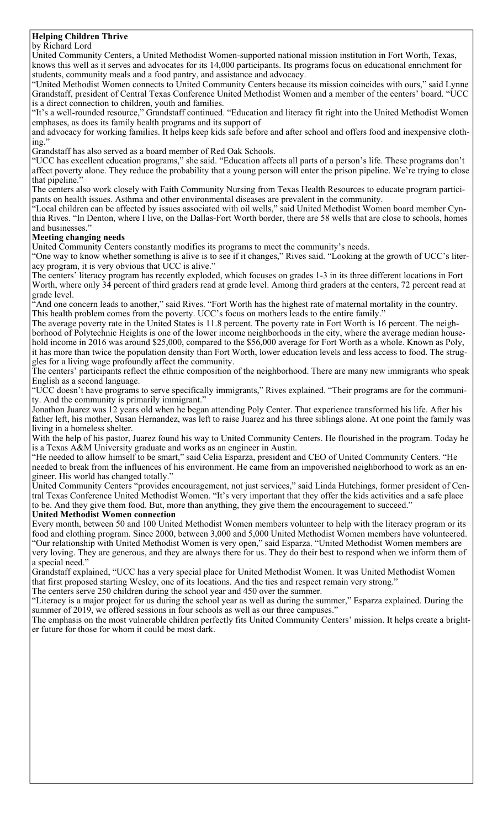#### **Helping Children Thrive** by Richard Lord

United Community Centers, a United Methodist Women-supported national mission institution in Fort Worth, Texas, knows this well as it serves and advocates for its 14,000 participants. Its programs focus on educational enrichment for students, community meals and a food pantry, and assistance and advocacy.

"United Methodist Women connects to United Community Centers because its mission coincides with ours," said Lynne Grandstaff, president of Central Texas Conference United Methodist Women and a member of the centers' board. "UCC is a direct connection to children, youth and families.

"It's a well-rounded resource," Grandstaff continued. "Education and literacy fit right into the United Methodist Women emphases, as does its family health programs and its support of

and advocacy for working families. It helps keep kids safe before and after school and offers food and inexpensive clothing."

Grandstaff has also served as a board member of Red Oak Schools.

"UCC has excellent education programs," she said. "Education affects all parts of a person's life. These programs don't affect poverty alone. They reduce the probability that a young person will enter the prison pipeline. We're trying to close that pipeline."

The centers also work closely with Faith Community Nursing from Texas Health Resources to educate program participants on health issues. Asthma and other environmental diseases are prevalent in the community.

"Local children can be affected by issues associated with oil wells," said United Methodist Women board member Cynthia Rives. "In Denton, where I live, on the Dallas-Fort Worth border, there are 58 wells that are close to schools, homes and businesses."

#### **Meeting changing needs**

United Community Centers constantly modifies its programs to meet the community's needs.

"One way to know whether something is alive is to see if it changes," Rives said. "Looking at the growth of UCC's literacy program, it is very obvious that UCC is alive."

The centers' literacy program has recently exploded, which focuses on grades 1-3 in its three different locations in Fort Worth, where only 34 percent of third graders read at grade level. Among third graders at the centers, 72 percent read at grade level.

"And one concern leads to another," said Rives. "Fort Worth has the highest rate of maternal mortality in the country. This health problem comes from the poverty. UCC's focus on mothers leads to the entire family.

The average poverty rate in the United States is 11.8 percent. The poverty rate in Fort Worth is 16 percent. The neighborhood of Polytechnic Heights is one of the lower income neighborhoods in the city, where the average median household income in 2016 was around \$25,000, compared to the \$56,000 average for Fort Worth as a whole. Known as Poly, it has more than twice the population density than Fort Worth, lower education levels and less access to food. The struggles for a living wage profoundly affect the community.

The centers' participants reflect the ethnic composition of the neighborhood. There are many new immigrants who speak English as a second language.

"UCC doesn't have programs to serve specifically immigrants," Rives explained. "Their programs are for the community. And the community is primarily immigrant."

Jonathon Juarez was 12 years old when he began attending Poly Center. That experience transformed his life. After his father left, his mother, Susan Hernandez, was left to raise Juarez and his three siblings alone. At one point the family was living in a homeless shelter.

With the help of his pastor, Juarez found his way to United Community Centers. He flourished in the program. Today he is a Texas A&M University graduate and works as an engineer in Austin.

"He needed to allow himself to be smart," said Celia Esparza, president and CEO of United Community Centers. "He needed to break from the influences of his environment. He came from an impoverished neighborhood to work as an engineer. His world has changed totally."

United Community Centers "provides encouragement, not just services," said Linda Hutchings, former president of Central Texas Conference United Methodist Women. "It's very important that they offer the kids activities and a safe place to be. And they give them food. But, more than anything, they give them the encouragement to succeed."

#### **United Methodist Women connection**

Every month, between 50 and 100 United Methodist Women members volunteer to help with the literacy program or its food and clothing program. Since 2000, between 3,000 and 5,000 United Methodist Women members have volunteered. "Our relationship with United Methodist Women is very open," said Esparza. "United Methodist Women members are very loving. They are generous, and they are always there for us. They do their best to respond when we inform them of a special need."

Grandstaff explained, "UCC has a very special place for United Methodist Women. It was United Methodist Women that first proposed starting Wesley, one of its locations. And the ties and respect remain very strong."

The centers serve 250 children during the school year and 450 over the summer.

"Literacy is a major project for us during the school year as well as during the summer," Esparza explained. During the summer of 2019, we offered sessions in four schools as well as our three campuses."

The emphasis on the most vulnerable children perfectly fits United Community Centers' mission. It helps create a brighter future for those for whom it could be most dark.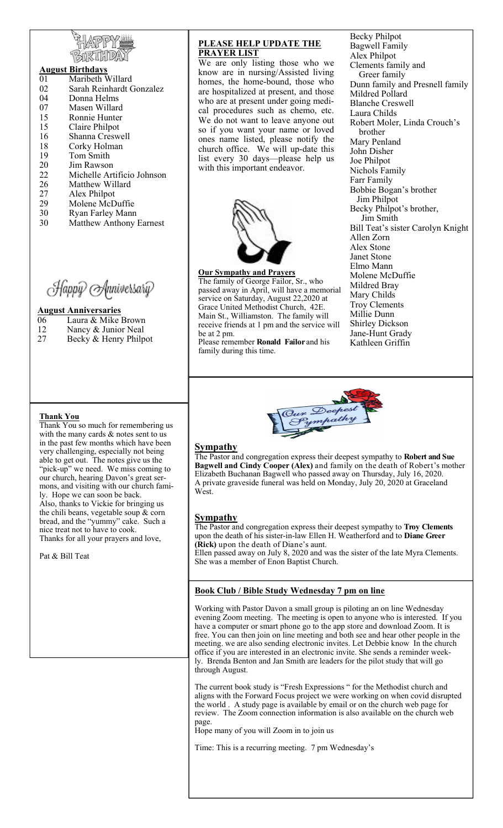#### **August Birthdays**

- 01 Maribeth Willard<br>02 Sarah Reinhardt C
- Sarah Reinhardt Gonzalez 04 Donna Helms
- 07 Masen Willard
- 15 Ronnie Hunter
- 15 Claire Philpot
- 16 Shanna Creswell
- 18 Corky Holman<br>19 Tom Smith
- Tom Smith
- 20 Jim Rawson
- 22 Michelle Artificio Johnson
- 26 Matthew Willard
- 
- 27 Alex Philpot<br>29 Molene McD Molene McDuffie
- 30 Ryan Farley Mann
- 30 Matthew Anthony Earnest

Happy Anniversary

#### **August Anniversaries**

- 06 Laura & Mike Brown
- 12 Nancy & Junior Neal<br>27 Becky & Henry Philo
- Becky & Henry Philpot

#### **PLEASE HELP UPDATE THE PRAYER LIST**

We are only listing those who we know are in nursing/Assisted living homes, the home-bound, those who are hospitalized at present, and those who are at present under going medical procedures such as chemo, etc. We do not want to leave anyone out so if you want your name or loved ones name listed, please notify the church office. We will up-date this list every 30 days—please help us with this important endeavor.



## **Our Sympathy and Prayers**

The family of George Failor, Sr., who passed away in April, will have a memorial service on Saturday, August 22,2020 at Grace United Methodist Church, 42E. Main St., Williamston. The family will receive friends at 1 pm and the service will be at 2 pm.

Please remember **Ronald Failor** and his family during this time.

Becky Philpot Bagwell Family Alex Philpot Clements family and Greer family Dunn family and Presnell family Mildred Pollard Blanche Creswell Laura Childs Robert Moler, Linda Crouch's brother Mary Penland John Disher Joe Philpot Nichols Family Farr Family Bobbie Bogan's brother Jim Philpot Becky Philpot's brother, Jim Smith Bill Teat's sister Carolyn Knight Allen Zorn Alex Stone Janet Stone Elmo Mann Molene McDuffie Mildred Bray Mary Childs Troy Clements Millie Dunn Shirley Dickson Jane-Hunt Grady Kathleen Griffin



# **Sympathy**

The Pastor and congregation express their deepest sympathy to **Robert and Sue Bagwell and Cindy Cooper (Alex)** and family on the death of Robert's mother Elizabeth Buchanan Bagwell who passed away on Thursday, July 16, 2020. A private graveside funeral was held on Monday, July 20, 2020 at Graceland West.

#### **Sympathy**

The Pastor and congregation express their deepest sympathy to **Troy Clements**  upon the death of his sister-in-law Ellen H. Weatherford and to **Diane Greer (Rick)** upon the death of Diane's aunt. Ellen passed away on July 8, 2020 and was the sister of the late Myra Clements.

# **Book Club / Bible Study Wednesday 7 pm on line**

She was a member of Enon Baptist Church.

Working with Pastor Davon a small group is piloting an on line Wednesday evening Zoom meeting. The meeting is open to anyone who is interested. If you have a computer or smart phone go to the app store and download Zoom. It is free. You can then join on line meeting and both see and hear other people in the meeting. we are also sending electronic invites. Let Debbie know In the church office if you are interested in an electronic invite. She sends a reminder weekly. Brenda Benton and Jan Smith are leaders for the pilot study that will go through August.

The current book study is "Fresh Expressions " for the Methodist church and aligns with the Forward Focus project we were working on when covid disrupted the world . A study page is available by email or on the church web page for review. The Zoom connection information is also available on the church web page.

Hope many of you will Zoom in to join us

Time: This is a recurring meeting. 7 pm Wednesday's

#### **Thank You**

Thank You so much for remembering us with the many cards & notes sent to us in the past few months which have been very challenging, especially not being able to get out. The notes give us the "pick-up" we need. We miss coming to our church, hearing Davon's great sermons, and visiting with our church family. Hope we can soon be back. Also, thanks to Vickie for bringing us the chili beans, vegetable soup & corn bread, and the "yummy" cake. Such a nice treat not to have to cook. Thanks for all your prayers and love,

Pat & Bill Teat